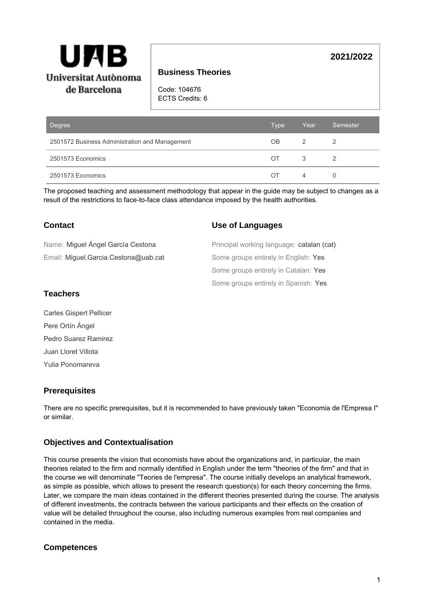

# **Business Theories**

Code: 104676 ECTS Credits: 6

| Degree                                         | <b>Type</b> | Year           | Semester |
|------------------------------------------------|-------------|----------------|----------|
| 2501572 Business Administration and Management | OВ          | 2              |          |
| 2501573 Economics                              | ОT          | 3              |          |
| 2501573 Economics                              | ΩT          | $\overline{4}$ | 0        |

The proposed teaching and assessment methodology that appear in the guide may be subject to changes as a result of the restrictions to face-to-face class attendance imposed by the health authorities.

### **Contact**

Email: Miguel.Garcia.Cestona@uab.cat Name: Miguel Ángel García Cestona

#### **Use of Languages**

Some groups entirely in Spanish: Yes Some groups entirely in Catalan: Yes Some groups entirely in English: Yes Principal working language: catalan (cat)

#### **Teachers**

Carles Gispert Pellicer Pere Ortín Ángel Pedro Suarez Ramirez Juan Lloret Villota Yulia Ponomareva

#### **Prerequisites**

There are no specific prerequisites, but it is recommended to have previously taken "Economia de l'Empresa I" or similar.

# **Objectives and Contextualisation**

This course presents the vision that economists have about the organizations and, in particular, the main theories related to the firm and normally identified in English under the term "theories of the firm" and that in the course we will denominate "Teories de l'empresa". The course initially develops an analytical framework, as simple as possible, which allows to present the research question(s) for each theory concerning the firms. Later, we compare the main ideas contained in the different theories presented during the course. The analysis of different investments, the contracts between the various participants and their effects on the creation of value will be detailed throughout the course, also including numerous examples from real companies and contained in the media.

#### **Competences**

# **2021/2022**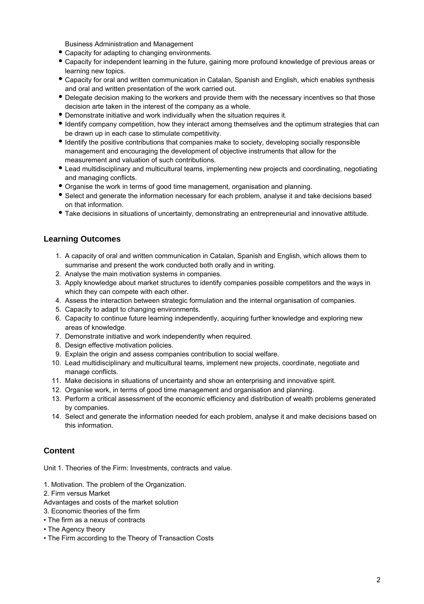Business Administration and Management

- Capacity for adapting to changing environments.
- Capacity for independent learning in the future, gaining more profound knowledge of previous areas or learning new topics.
- Capacity for oral and written communication in Catalan, Spanish and English, which enables synthesis and oral and written presentation of the work carried out.
- Delegate decision making to the workers and provide them with the necessary incentives so that those decision arte taken in the interest of the company as a whole.
- Demonstrate initiative and work individually when the situation requires it.
- Identify company competition, how they interact among themselves and the optimum strategies that can be drawn up in each case to stimulate competitivity.
- Identify the positive contributions that companies make to society, developing socially responsible management and encouraging the development of objective instruments that allow for the measurement and valuation of such contributions.
- Lead multidisciplinary and multicultural teams, implementing new projects and coordinating, negotiating and managing conflicts.
- Organise the work in terms of good time management, organisation and planning.
- Select and generate the information necessary for each problem, analyse it and take decisions based on that information.
- Take decisions in situations of uncertainty, demonstrating an entrepreneurial and innovative attitude.

### **Learning Outcomes**

- 1. A capacity of oral and written communication in Catalan, Spanish and English, which allows them to summarise and present the work conducted both orally and in writing.
- 2. Analyse the main motivation systems in companies.
- 3. Apply knowledge about market structures to identify companies possible competitors and the ways in which they can compete with each other.
- 4. Assess the interaction between strategic formulation and the internal organisation of companies.
- 5. Capacity to adapt to changing environments.
- 6. Capacity to continue future learning independently, acquiring further knowledge and exploring new areas of knowledge.
- 7. Demonstrate initiative and work independently when required.
- 8. Design effective motivation policies.
- 9. Explain the origin and assess companies contribution to social welfare.
- 10. Lead multidisciplinary and multicultural teams, implement new projects, coordinate, negotiate and manage conflicts.
- 11. Make decisions in situations of uncertainty and show an enterprising and innovative spirit.
- 12. Organise work, in terms of good time management and organisation and planning.
- 13. Perform a critical assessment of the economic efficiency and distribution of wealth problems generated by companies.
- 14. Select and generate the information needed for each problem, analyse it and make decisions based on this information.

#### **Content**

Unit 1. Theories of the Firm: Investments, contracts and value.

- 1. Motivation. The problem of the Organization.
- 2. Firm versus Market
- Advantages and costs of the market solution
- 3. Economic theories of the firm
- The firm as a nexus of contracts
- The Agency theory
- The Firm according to the Theory of Transaction Costs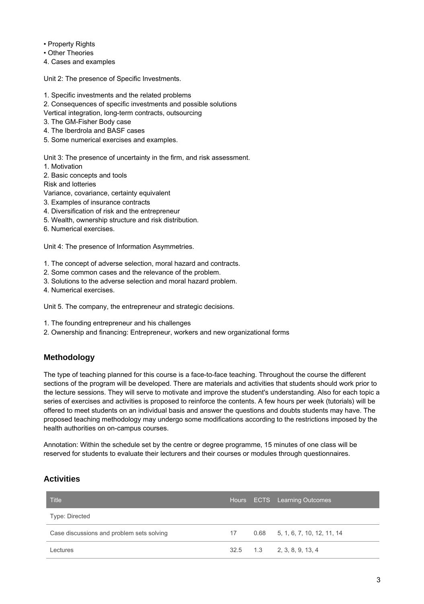• Property Rights

• Other Theories

4. Cases and examples

Unit 2: The presence of Specific Investments.

- 1. Specific investments and the related problems
- 2. Consequences of specific investments and possible solutions
- Vertical integration, long-term contracts, outsourcing
- 3. The GM-Fisher Body case
- 4. The Iberdrola and BASF cases
- 5. Some numerical exercises and examples.

Unit 3: The presence of uncertainty in the firm, and risk assessment.

1. Motivation

2. Basic concepts and tools

Risk and lotteries

- Variance, covariance, certainty equivalent
- 3. Examples of insurance contracts
- 4. Diversification of risk and the entrepreneur
- 5. Wealth, ownership structure and risk distribution.
- 6. Numerical exercises.

Unit 4: The presence of Information Asymmetries.

- 1. The concept of adverse selection, moral hazard and contracts.
- 2. Some common cases and the relevance of the problem.
- 3. Solutions to the adverse selection and moral hazard problem.
- 4. Numerical exercises.

Unit 5. The company, the entrepreneur and strategic decisions.

- 1. The founding entrepreneur and his challenges
- 2. Ownership and financing: Entrepreneur, workers and new organizational forms

#### **Methodology**

The type of teaching planned for this course is a face-to-face teaching. Throughout the course the different sections of the program will be developed. There are materials and activities that students should work prior to the lecture sessions. They will serve to motivate and improve the student's understanding. Also for each topic a series of exercises and activities is proposed to reinforce the contents. A few hours per week (tutorials) will be offered to meet students on an individual basis and answer the questions and doubts students may have. The proposed teaching methodology may undergo some modifications according to the restrictions imposed by the health authorities on on-campus courses.

Annotation: Within the schedule set by the centre or degree programme, 15 minutes of one class will be reserved for students to evaluate their lecturers and their courses or modules through questionnaires.

# **Activities**

| <b>Title</b>                              |    | Hours ECTS Learning Outcomes      |
|-------------------------------------------|----|-----------------------------------|
| Type: Directed                            |    |                                   |
| Case discussions and problem sets solving | 17 | $0.68$ 5, 1, 6, 7, 10, 12, 11, 14 |
| Lectures                                  |    | $32.5$ 1.3 2, 3, 8, 9, 13, 4      |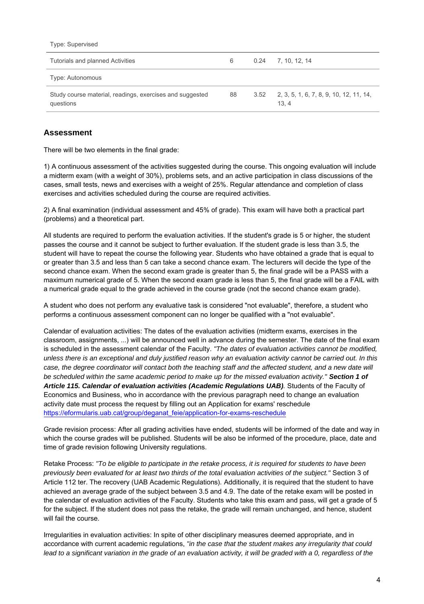Type: Supervised

| Tutorials and planned Activities                                      | 6  | $0.24$ 7.10.12.14                                      |
|-----------------------------------------------------------------------|----|--------------------------------------------------------|
| Type: Autonomous                                                      |    |                                                        |
| Study course material, readings, exercises and suggested<br>questions | 88 | $3.52$ 2, 3, 5, 1, 6, 7, 8, 9, 10, 12, 11, 14,<br>13.4 |

### **Assessment**

There will be two elements in the final grade:

1) A continuous assessment of the activities suggested during the course. This ongoing evaluation will include a midterm exam (with a weight of 30%), problems sets, and an active participation in class discussions of the cases, small tests, news and exercises with a weight of 25%. Regular attendance and completion of class exercises and activities scheduled during the course are required activities.

2) A final examination (individual assessment and 45% of grade). This exam will have both a practical part (problems) and a theoretical part.

All students are required to perform the evaluation activities. If the student's grade is 5 or higher, the student passes the course and it cannot be subject to further evaluation. If the student grade is less than 3.5, the student will have to repeat the course the following year. Students who have obtained a grade that is equal to or greater than 3.5 and less than 5 can take a second chance exam. The lecturers will decide the type of the second chance exam. When the second exam grade is greater than 5, the final grade will be a PASS with a maximum numerical grade of 5. When the second exam grade is less than 5, the final grade will be a FAIL with a numerical grade equal to the grade achieved in the course grade (not the second chance exam grade).

A student who does not perform any evaluative task is considered "not evaluable", therefore, a student who performs a continuous assessment component can no longer be qualified with a "not evaluable".

Calendar of evaluation activities: The dates of the evaluation activities (midterm exams, exercises in the classroom, assignments, ...) will be announced well in advance during the semester. The date of the final exam is scheduled in the assessment calendar of the Faculty. "The dates of evaluation activities cannot be modified, unless there is an exceptional and duly justified reason why an evaluation activity cannot be carried out. In this case, the degree coordinator will contact both the teaching staff and the affected student, and a new date will be scheduled within the same academic period to make up for the missed evaluation activity." **Section 1 of Article 115. Calendar of evaluation activities (Academic Regulations UAB)**. Students of the Faculty of Economics and Business, who in accordance with the previous paragraph need to change an evaluation activity date must process the request by filling out an Application for exams' reschedule [https://eformularis.uab.cat/group/deganat\\_feie/application-for-exams-reschedule](https://outlook.office.com/owa/redir.aspx?REF=mVHNBdxzZC3dU0mOuxtisrze4rKQkmObDSrNBku8-AZ3BkgKLN_VCAFodHRwczovL2Vmb3JtdWxhcmlzLnVhYi5jYXQvZ3JvdXAvZGVnYW5hdF9mZWllL2FwcGxpY2F0aW9uLWZvci1leGFtcy1yZXNjaGVkdWxl)

Grade revision process: After all grading activities have ended, students will be informed of the date and way in which the course grades will be published. Students will be also be informed of the procedure, place, date and time of grade revision following University regulations.

Retake Process: "To be eligible to participate in the retake process, it is required for students to have been previously been evaluated for at least two thirds of the total evaluation activities of the subject." Section 3 of Article 112 ter. The recovery (UAB Academic Regulations). Additionally, it is required that the student to have achieved an average grade of the subject between 3.5 and 4.9. The date of the retake exam will be posted in the calendar of evaluation activities of the Faculty. Students who take this exam and pass, will get a grade of 5 for the subject. If the student does not pass the retake, the grade will remain unchanged, and hence, student will fail the course.

Irregularities in evaluation activities: In spite of other disciplinary measures deemed appropriate, and in accordance with current academic regulations, "in the case that the student makes any irregularity that could lead to a significant variation in the grade of an evaluation activity, it will be graded with a 0, regardless of the